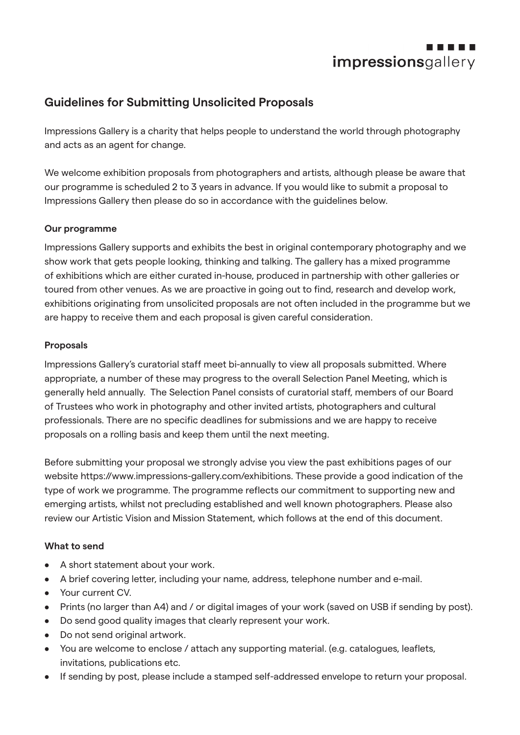

# **Guidelines for Submitting Unsolicited Proposals**

Impressions Gallery is a charity that helps people to understand the world through photography and acts as an agent for change.

We welcome exhibition proposals from photographers and artists, although please be aware that our programme is scheduled 2 to 3 years in advance. If you would like to submit a proposal to Impressions Gallery then please do so in accordance with the guidelines below.

## **Our programme**

Impressions Gallery supports and exhibits the best in original contemporary photography and we show work that gets people looking, thinking and talking. The gallery has a mixed programme of exhibitions which are either curated in-house, produced in partnership with other galleries or toured from other venues. As we are proactive in going out to find, research and develop work, exhibitions originating from unsolicited proposals are not often included in the programme but we are happy to receive them and each proposal is given careful consideration.

## **Proposals**

Impressions Gallery's curatorial staff meet bi-annually to view all proposals submitted. Where appropriate, a number of these may progress to the overall Selection Panel Meeting, which is generally held annually. The Selection Panel consists of curatorial staff, members of our Board of Trustees who work in photography and other invited artists, photographers and cultural professionals. There are no specific deadlines for submissions and we are happy to receive proposals on a rolling basis and keep them until the next meeting.

Before submitting your proposal we strongly advise you view the past exhibitions pages of our website https://www.impressions-gallery.com/exhibitions. These provide a good indication of the type of work we programme. The programme reflects our commitment to supporting new and emerging artists, whilst not precluding established and well known photographers. Please also review our Artistic Vision and Mission Statement, which follows at the end of this document.

# **What to send**

- A short statement about your work.
- A brief covering letter, including your name, address, telephone number and e-mail.
- Your current CV.
- Prints (no larger than A4) and / or digital images of your work (saved on USB if sending by post).
- Do send good quality images that clearly represent your work.
- Do not send original artwork.
- You are welcome to enclose / attach any supporting material. (e.g. catalogues, leaflets, invitations, publications etc.
- If sending by post, please include a stamped self-addressed envelope to return your proposal.